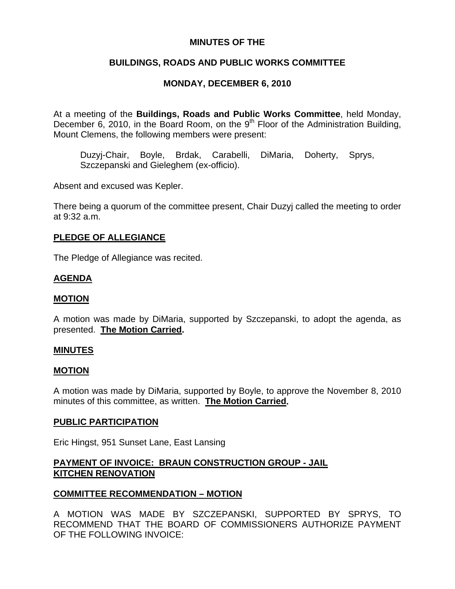## **MINUTES OF THE**

# **BUILDINGS, ROADS AND PUBLIC WORKS COMMITTEE**

# **MONDAY, DECEMBER 6, 2010**

At a meeting of the **Buildings, Roads and Public Works Committee**, held Monday, December 6, 2010, in the Board Room, on the  $9<sup>th</sup>$  Floor of the Administration Building, Mount Clemens, the following members were present:

Duzyj-Chair, Boyle, Brdak, Carabelli, DiMaria, Doherty, Sprys, Szczepanski and Gieleghem (ex-officio).

Absent and excused was Kepler.

There being a quorum of the committee present, Chair Duzyj called the meeting to order at 9:32 a.m.

## **PLEDGE OF ALLEGIANCE**

The Pledge of Allegiance was recited.

## **AGENDA**

### **MOTION**

A motion was made by DiMaria, supported by Szczepanski, to adopt the agenda, as presented. **The Motion Carried.** 

### **MINUTES**

#### **MOTION**

A motion was made by DiMaria, supported by Boyle, to approve the November 8, 2010 minutes of this committee, as written. **The Motion Carried.** 

### **PUBLIC PARTICIPATION**

Eric Hingst, 951 Sunset Lane, East Lansing

## **PAYMENT OF INVOICE: BRAUN CONSTRUCTION GROUP - JAIL KITCHEN RENOVATION**

### **COMMITTEE RECOMMENDATION – MOTION**

A MOTION WAS MADE BY SZCZEPANSKI, SUPPORTED BY SPRYS, TO RECOMMEND THAT THE BOARD OF COMMISSIONERS AUTHORIZE PAYMENT OF THE FOLLOWING INVOICE: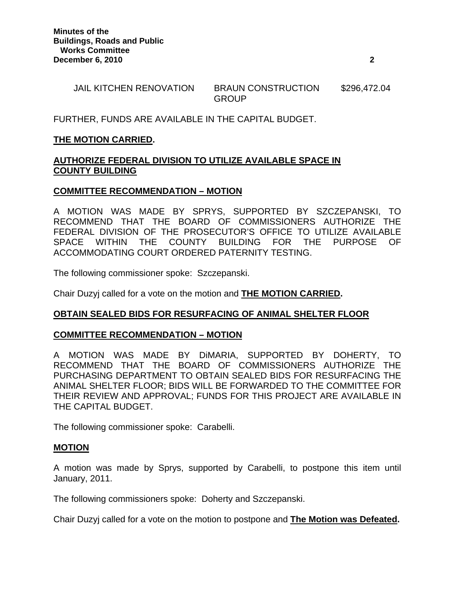| <b>JAIL KITCHEN RENOVATION</b> | <b>BRAUN CONSTRUCTION</b> | \$296,472.04 |
|--------------------------------|---------------------------|--------------|
|                                | <b>GROUP</b>              |              |

## FURTHER, FUNDS ARE AVAILABLE IN THE CAPITAL BUDGET.

### **THE MOTION CARRIED.**

## **AUTHORIZE FEDERAL DIVISION TO UTILIZE AVAILABLE SPACE IN COUNTY BUILDING**

### **COMMITTEE RECOMMENDATION – MOTION**

A MOTION WAS MADE BY SPRYS, SUPPORTED BY SZCZEPANSKI, TO RECOMMEND THAT THE BOARD OF COMMISSIONERS AUTHORIZE THE FEDERAL DIVISION OF THE PROSECUTOR'S OFFICE TO UTILIZE AVAILABLE SPACE WITHIN THE COUNTY BUILDING FOR THE PURPOSE OF ACCOMMODATING COURT ORDERED PATERNITY TESTING.

The following commissioner spoke: Szczepanski.

Chair Duzyj called for a vote on the motion and **THE MOTION CARRIED.**

### **OBTAIN SEALED BIDS FOR RESURFACING OF ANIMAL SHELTER FLOOR**

### **COMMITTEE RECOMMENDATION – MOTION**

A MOTION WAS MADE BY DiMARIA, SUPPORTED BY DOHERTY, TO RECOMMEND THAT THE BOARD OF COMMISSIONERS AUTHORIZE THE PURCHASING DEPARTMENT TO OBTAIN SEALED BIDS FOR RESURFACING THE ANIMAL SHELTER FLOOR; BIDS WILL BE FORWARDED TO THE COMMITTEE FOR THEIR REVIEW AND APPROVAL; FUNDS FOR THIS PROJECT ARE AVAILABLE IN THE CAPITAL BUDGET.

The following commissioner spoke: Carabelli.

### **MOTION**

A motion was made by Sprys, supported by Carabelli, to postpone this item until January, 2011.

The following commissioners spoke: Doherty and Szczepanski.

Chair Duzyj called for a vote on the motion to postpone and **The Motion was Defeated.**